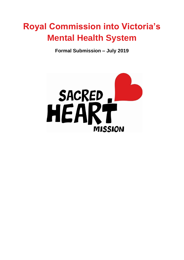# **Royal Commission into Victoria's Mental Health System**

**Formal Submission – July 2019**

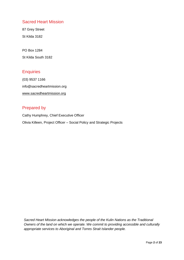#### Sacred Heart Mission

87 Grey Street St Kilda 3182

PO Box 1284 St Kilda South 3182

### **Enquiries**

(03) 9537 1166 info@sacredheartmission.org [www.sacredheartmission.org](http://www.sacredheartmission.org/)

### Prepared by

Cathy Humphrey, Chief Executive Officer Olivia Killeen, Project Officer – Social Policy and Strategic Projects

*Sacred Heart Mission acknowledges the people of the Kulin Nations as the Traditional Owners of the land on which we operate. We commit to providing accessible and culturally appropriate services to Aboriginal and Torres Strait Islander people.*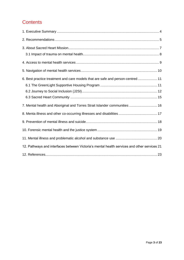# **Contents**

| 6. Best practice treatment and care models that are safe and person-centred 11              |  |
|---------------------------------------------------------------------------------------------|--|
|                                                                                             |  |
|                                                                                             |  |
|                                                                                             |  |
| 7. Mental health and Aboriginal and Torres Strait Islander communities  16                  |  |
|                                                                                             |  |
|                                                                                             |  |
|                                                                                             |  |
|                                                                                             |  |
| 12. Pathways and interfaces between Victoria's mental health services and other services 21 |  |
|                                                                                             |  |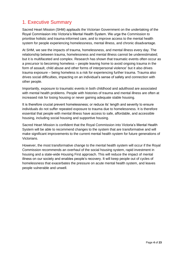# <span id="page-3-0"></span>1. Executive Summary

Sacred Heart Mission (SHM) applauds the Victorian Government on the undertaking of the Royal Commission into Victoria's Mental Health System. We urge the Commission to prioritise holistic and trauma-informed care, and to improve access to the mental health system for people experiencing homelessness, mental illness, and chronic disadvantage.

At SHM, we see the impacts of trauma, homelessness, and mental illness every day. The relationship between trauma, homelessness and mental illness cannot be underestimated; but it is multifaceted and complex. Research has shown that traumatic events often occur as a precursor to becoming homeless – people leaving home to avoid ongoing trauma in the form of assault, child abuse and other forms of interpersonal violence' but it also drives trauma exposure – being homeless is a risk for experiencing further trauma. Trauma also drives social difficulties, impacting on an individual's sense of safety and connection with other people.

Importantly, exposure to traumatic events in both childhood and adulthood are associated with mental health problems. People with histories of trauma and mental illness are often at increased risk for losing housing or never gaining adequate stable housing.

It is therefore crucial prevent homelessness; or reduce its' length and severity to ensure individuals do not suffer repeated exposure to trauma due to homelessness. It is therefore essential that people with mental illness have access to safe, affordable, and accessible housing, including social housing and supportive housing.

Sacred Heart Mission is confident that the Royal Commission into Victoria's Mental Health System will be able to recommend changes to the system that are transformative and will make significant improvements to the current mental health system for future generations of Victorians.

However, the most transformative change to the mental health system will occur if the Royal Commission recommends an overhaul of the social housing system, rapid investment in housing and a state-wide Housing First approach. This will reduce the impact of mental illness on our society and enables people's recovery. It will keep people out of cycles of homelessness that exacerbates the pressure on acute mental health system, and leaves people vulnerable and unwell.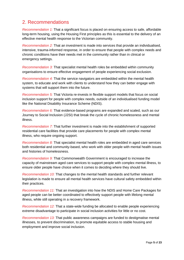### <span id="page-4-0"></span>2. Recommendations

*Recommendation 1:* That a significant focus is placed on ensuring access to safe, affordable long-term housing, using the Housing First principles as this is essential to the delivery of an effective mental health response to the Victorian community.

*Recommendation 2:* That an investment is made into services that provide an individualised, intensive, trauma-informed response, in order to ensure that people with complex needs and chronic conditions have their needs met in the community rather than in clinical or emergency settings.

*Recommendation 3:* That specialist mental health roles be embedded within community organisations to ensure effective engagement of people experiencing social exclusion.

*Recommendation 4:* That the service navigators are embedded within the mental health system, to educate and work with clients to understand how they can better engage with systems that will support them into the future.

*Recommendation 5:* That Victoria re-invests in flexible support models that focus on social inclusion support for people with complex needs, outside of an individualised funding model like the National Disability Insurance Scheme (NDIS).

*Recommendation 6:* That evidence-based programs are expanded and scaled, such as our Journey to Social Inclusion (J2SI) that break the cycle of chronic homelessness and mental illness.

*Recommendation 7:* That further investment is made into the establishment of supported residential care facilities that provide care placements for people with complex mental illness, who require ongoing support.

*Recommendation 8:* That specialist mental health roles are embedded in aged care services both residential and community-based, who work with older people with mental health issues and histories of homelessness.

*Recommendation 9:* That Commonwealth Government is encouraged to increase the capacity of mainstream aged care services to support people with complex mental illness, to ensure older people have choice when it comes to deciding where they should live.

*Recommendation 10:* That changes to the mental health standards and further relevant legislation is made to ensure all mental health services have cultural safety embedded within their practices.

*Recommendation 11:* That an investigation into how the NDIS and Home Care Packages for aged people can be better coordinated to effectively support people with lifelong mental illness, while still operating in a recovery framework.

*Recommendation 12:* That a state-wide funding be allocated to enable people experiencing extreme disadvantage to participate in social inclusion activities for little or no cost.

*Recommendation 13:* That public awareness campaigns are funded to destigmatise mental illnesses, to prevent discrimination, to promote equitable access to stable housing and employment and improve social inclusion.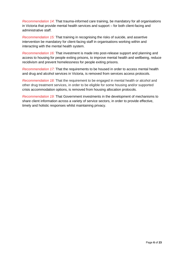*Recommendation 14*: That trauma-informed care training, be mandatory for all organisations in Victoria that provide mental health services and support – for both client-facing and administrative staff.

*Recommendation 15:* That training in recognising the risks of suicide, and assertive intervention be mandatory for client-facing staff in organisations working within and interacting with the mental health system.

*Recommendation 16:* That investment is made into post-release support and planning and access to housing for people exiting prisons, to improve mental health and wellbeing, reduce recidivism and prevent homelessness for people exiting prisons.

*Recommendation 17:* That the requirements to be housed in order to access mental health and drug and alcohol services in Victoria, is removed from services access protocols.

*Recommendation 18:* That the requirement to be engaged in mental health or alcohol and other drug treatment services, in order to be eligible for some housing and/or supported crisis accommodation options, is removed from housing allocation protocols.

*Recommendation 19:* That Government investments in the development of mechanisms to share client information across a variety of service sectors, in order to provide effective, timely and holistic responses whilst maintaining privacy.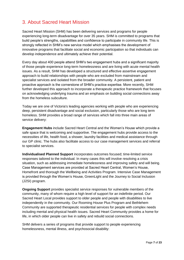### <span id="page-6-0"></span>3. About Sacred Heart Mission

Sacred Heart Mission (SHM) has been delivering services and programs for people experiencing long-term disadvantage for over 35 years. SHM is committed to programs that build people's strengths, capabilities and confidence to participate in community life. This is strongly reflected in SHM's new service model which emphasises the development of innovative programs that facilitate social and economic participation so that individuals can develop independence and ultimately achieve their potential.

Every day about 400 people attend SHM's two engagement hubs and a significant majority of those people experience long-term homelessness and are living with acute mental health issues. As a result, SHM has developed a structured and effective assertive engagement approach to build relationships with people who are excluded from mainstream and specialist services and isolated from the broader community. A persistent, patient and proactive approach is the cornerstone of SHM's practice expertise. More recently, SHM further developed this approach to incorporate a therapeutic practice framework that focuses on acknowledging underlying trauma and an emphasis on building social connections away from the homeless subculture.

Today we are one of Victoria's leading agencies working with people who are experiencing deep, persistent disadvantage and social exclusion, particularly those who are long term homeless. SHM provides a broad range of services which fall into three main areas of service delivery:

**Engagement Hubs** include Sacred Heart Central and the Women's House which provide a safe space that is welcoming and supportive. The engagement hubs provide access to the necessities of life, health food, a shower, laundry facilities and medical assistance through our GP clinic. The hubs also facilitate access to our case management services and referral to specialist services.

**Individualised Planned Support** incorporates outcomes focused; time-limited service responses tailored to the individual. In many cases this will involve resolving a crisis situation, such as addressing immediate homelessness and improving safety and will being. Case Management services are provided at Sacred Heart Central, Women's House, Homefront and thorough the Wellbeing and Activities Program. Intensive Case Management is provided through the Women's House, GreenLight and the Journey to Social Inclusion (J2SI) program.

**Ongoing Support** provides specialist service responses for vulnerable members of the community, many of whom require a high level of support for an indefinite period. Our Sacred Heart Local provides support to older people and people with disabilities to live independently in the community. Our Rooming House Plus Program and Bethlehem Community are supported therapeutic residential services for people with complex needs including mental and physical health issues. Sacred Heart Community provides a home for life, in which older people can live in safety and rebuild social connections.

SHM delivers a series of programs that provide support to people experiencing homelessness, mental illness, and psychosocial disability: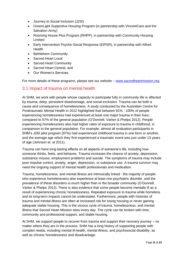- Journey to Social Inclusion (J2SI)
- GreenLight Supportive Housing Program (in partnership with VincentCare and the Salvation Army)
- Rooming House Plus Program (RHPP), in partnership with Community Housing Limited
- Early Intervention Psycho-Social Response (EIPSR), in partnership with Alfred **Health**
- Bethlehem Community
- Sacred Heart Local
- Sacred Heart Community
- Sacred Heart Central, and
- Our Women's Services.

For more details of these programs, please see our website – [www.sacredheartmission.org.](http://www.sacredheartmission.org/)

#### <span id="page-7-0"></span>3.1 Impact of trauma on mental health

At SHM, we work with people whose capacity to participate fully in community life is affected by trauma, deep, persistent disadvantage, and social exclusion. Trauma can be both a cause and consequence of homelessness. A study conducted by the Australian Centre for Posttraumatic Mental Health in 2012 highlighted that between 91% - 100% of people experiencing homelessness had experienced at least one major trauma in their lives; compared to 57% of the general population (O'Donnell, Varker & Phelps 2012). People experiencing homelessness also had higher rates of exposure to trauma in childhood, in comparison to the general population. For example, almost all evaluation participants in SHM's J2SI pilot program (87%) had experienced childhood trauma in one form or another, and the average age which they first experienced a traumatic event was just under 13 years of age (Johnson et. al 2011).

Trauma can have long-lasting effects on all aspects of someone's life, including how someone thinks, feels, and behaves. Trauma increases the chance of anxiety, depression, substance misuse, employment problems and suicide. The symptoms of trauma may include poor impulse control, anxiety, anger, depression, or substance use. A trauma survivor may need the ongoing support of mental health professionals and medication.

Trauma, homelessness. and mental illness are intrinsically linked - the majority of people who experience homelessness also experience at least one psychiatric disorder, and the prevalence of these disorders is much higher than in the broader community (O'Donnell, Varker & Phelps 2012). There is also evidence that some people become mentally ill as a result of experiencing chronic homelessness. Repeated exposure to trauma while homeless and its long-term impacts cannot be understated. Furthermore, people with histories of trauma and mental illness are often at increased risk for losing housing or never gaining adequate stable housing. This is the vicious cycle of trauma, homelessness, and mental illness that Sacred Heart Mission sees every day. The cycle can be broken with time, community and professional support, and stable housing.

At SHM, we support people to recover from trauma and support their recovery journey – no matter where they are in the process. SHM has a long history of supporting people with complex needs, including mental ill-health, mental illness, and psychosocial disability, as well as chronic homelessness and disadvantage.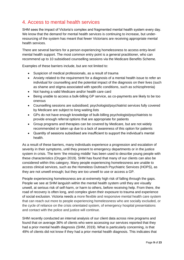### <span id="page-8-0"></span>4. Access to mental health services

SHM sees the impact of Victoria's complex and fragmented mental health system every day. We know that the demand for mental health services is continuing to increase, but underresourcing of the system has meant that fewer Victorians are receiving appropriate mental health services.

There are several barriers for a person experiencing homelessness to access entry-level mental health support. The most common entry point is a general practitioner, who can recommend up to 10 subsidised counselling sessions via the Medicare Benefits Scheme.

Examples of these barriers include, but are not limited to:

- Suspicion of medical professionals, as a result of trauma
- Anxiety related to the requirement for a diagnosis of a mental health issue to refer an individual for counselling and the potential impact of the diagnosis on their lives (such as shame and stigma associated with specific conditions, such as schizophrenia)
- Not having a valid Medicare and/or health care card
- Being unable to access a bulk-billing GP service, as co-payments are likely to be too onerous
- Counselling sessions are subsidised; psychologist/psychiatrist services fully covered by Medicare are subject to long waiting lists
- GPs do not have enough knowledge of bulk-billing psychologist/psychiatrists to provide enough referral options that are appropriate for patients
- Group programs and therapies can be covered by Medicare, but are not widely recommended or taken up due to a lack of awareness of this option for patients
- Quantity of sessions subsidised are insufficient to support the individual's mental health.

As a result of these barriers, many individuals experience a progression and escalation of severity in their symptoms, until they present to emergency departments or in the justice system in crisis. The term 'the missing middle' has been used to describe young people with these characteristics (Orygen 2019). SHM has found that many of our clients can also be considered within this category. Many people experiencing homelessness are unable to access clinical services, such as the Homeless Outreach Psychiatric Services (HOPS), as they are not unwell enough; but they are too unwell to use or access a GP.

People experiencing homelessness are at extremely high risk of falling through the gaps. People we see at SHM languish within the mental health system until they are visually unwell, at serious risk of self-harm, or harm to others, before receiving help. From there, the road of recovery is often long, and complex given their exposure to trauma and experience of social exclusion. Victoria needs a more flexible and responsive mental health care system that can reach out more to people experiencing homelessness who are socially excluded, or the cycle of reliance on the crisis orientated system, of emergency hospital presentations and contact with the police and justice will continue.

SHM recently conducted an internal analysis of our client data across nine programs and found that on average 36% of clients who were accessing our services reported that they had a prior mental health diagnosis (SHM, 2019). What is particularly concerning, is that 49% of clients did not know if they had a prior mental health diagnosis. This indicates that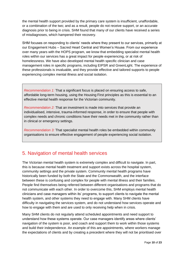the mental health support provided by the primary care system is insufficient, unaffordable, or a combination of the two; and as a result, people do not receive support, or an accurate diagnosis prior to being in crisis. SHM found that many of our clients have received a series of misdiagnoses, which hampered their recovery.

SHM focuses on responding to clients' needs where they present to our services, primarily at our Engagement Hubs – Sacred Heart Central and Women's House. From our experience over many years with the HOPS program, we know that embedding specialist mental health roles within our services has a great impact for people experiencing, or at risk of homelessness. We have also developed mental health specific clinician and case management roles in specific programs, including EIPSR and GreenLight. The experience of these professionals is invaluable, and they provide effective and tailored supports to people experiencing complex mental illness and social isolation.

*Recommendation 1:* That a significant focus is placed on ensuring access to safe, affordable long-term housing, using the Housing First principles as this is essential to an effective mental health response for the Victorian community.

*Recommendation 2:* That an investment is made into services that provide an individualised, intensive, trauma-informed response, in order to ensure that people with complex needs and chronic conditions have their needs met in the community rather than in clinical or emergency settings.

*Recommendation 3:* That specialist mental health roles be embedded within community organisations to ensure effective engagement of people experiencing social isolation.

### <span id="page-9-0"></span>5. Navigation of mental health services

The Victorian mental health system is extremely complex and difficult to navigate. In part, this is because mental health treatment and support exists across the hospital system, community settings and the private system. Community mental health programs have historically been funded by both the State and the Commonwealth, and the interface between these is confusing and complex for people with mental illness and their families. People find themselves being referred between different organisations and programs that do not communicate with each other. In order to overcome this, SHM employs mental health clinicians and case managers within its' programs, to support clients to navigate the mental health system, and other systems they need to engage with. Many SHM clients have difficulty in navigating the services system, and do not understand how services operate and how to engage with them and are used to only receiving help when in crisis.

Many SHM clients do not regularly attend scheduled appointments and need support to understand how these systems operate. Our case managers identify areas where clients' navigation of the system is poor, and coach and support them to work within those systems and build their independence. An example of this are appointments, where workers manage the expectations of clients and by creating a precedent where they will not be prioritised over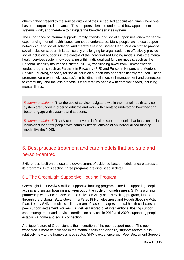others if they present to the service outside of their scheduled appointment time where one has been organised in advance. This supports clients to understand how appointment systems work, and therefore to navigate the broader services system.

The importance of informal supports (family, friends, and social support networks) for people experiencing mental health issues cannot be understated. Many people lack these support networks due to social isolation, and therefore rely on Sacred Heart Mission staff to provide social inclusion support. It is particularly challenging for organisations to effectively provide social inclusion supports in the context of the individualised funding models. With the mental health services system now operating within individualised funding models, such as the National Disability Insurance Scheme (NDIS), transitioning away from Commonwealthfunded programs such as Partners in Recovery (PIR) and Personal Helpers and Mentors Service (PHaMs), capacity for social inclusion support has been significantly reduced. These programs were extremely successful in building resilience, self-management and connection to community, and the loss of these is clearly felt by people with complex needs, including mental illness.

*Recommendation 4:* That the use of service navigators within the mental health service system are funded in order to educate and work with clients to understand how they can better engage with systems and supports.

*Recommendation 5:* That Victoria re-invests in flexible support models that focus on social inclusion support for people with complex needs, outside of an individualised funding model like the NDIS.

# <span id="page-10-0"></span>6. Best practice treatment and care models that are safe and person-centred

SHM prides itself on the use and development of evidence-based models of care across all its programs. In this section, three programs are discussed in detail.

### <span id="page-10-1"></span>6.1 The GreenLight Supportive Housing Program

GreenLight is a new \$4.5 million supportive housing program, aimed at supporting people to access and sustain housing and keep out of the cycle of homelessness. SHM is working in partnership with VincentCare and the Salvation Army on this exciting program, funded through the Victorian State Government's 2018 Homelessness and Rough Sleeping Action Plan. Led by SHM, a multidisciplinary team of case managers, mental health clinicians and peer support settlement workers, will deliver tailored brief interventions, floating support, case management and service coordination services in 2019 and 2020, supporting people to establish a home and social connection.

A unique feature of GreenLight is the integration of the peer support model. The peer workforce is more established in the mental health and disability support sectors but is relatively new to the homelessness sector. SHM's experience with Peer Settlement Support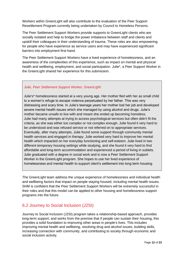Workers within GreenLight will also contribute to the evaluation of the Peer Support Resettlement Program currently being undertaken by Council to Homeless Persons.

The Peer Settlement Support Workers provide supports to GreenLight clients who are socially isolated and help to bridge the power imbalance between staff and clients and upskill their colleagues in their understanding of trauma. These roles are also empowering for people who have experience as service users and may have experienced significant barriers into employment first-hand.

The Peer Settlement Support Workers have a lived experience of homelessness, and an awareness of the complexities of this experience, such as impact on mental and physical health and wellbeing, employment, and social participation. Julie\*, a Peer Support Worker in the GreenLight shared her experience for this submission.

#### *Julie, Peer Settlement Support Worker, GreenLight:*

Julie's\* homelessness started at a very young age. Her mother fled with her as small child to a women's refuge to escape violence perpetuated by her father. This was very distressing and scary time. In Julie's teenage years her mother lost her job and developed severe mental health issues which she managed by using alcohol and drugs. Julie's mother became unsafe to live with and meant she ended up becoming homeless. Julie had many attempts at trying to access psychological services but often didn't fit the criteria, as she was either too complex or not complex enough. Julie found it very hard to be understood and was refused service or not referred on to appropriate services. Eventually, after many attempts, Julie found some support through community mental health services and engaged in therapy. Julie worked very hard to improve her mental health which impacted on her everyday functioning and self-esteem. Julie lived in two different temporary housing settings while studying, and she found it very hard to find affordable and long-term accommodation and experienced a period of living in sublets. Julie graduated with a degree in social work and is now a Peer Settlement Support Worker in the GreenLight program. She hopes to use her lived experience of homelessness and mental health to support client's settlement into long term housing.

The GreenLight team address the unique experience of homelessness and individual health and wellbeing factors that impact on people staying housed, including mental health issues. SHM is confident that the Peer Settlement Support Workers will be extremely successful in their roles and that this model can be applied to other housing and homelessness support programs into the future.

#### <span id="page-11-0"></span>6.2 Journey to Social Inclusion (J2SI)

Journey to Social Inclusion (J2SI) program takes a relationship-based approach, provides long-term support, and works from the premise that if people can sustain their housing, this provides a solid foundation to improving other areas in people's lives. This includes improving mental health and wellbeing, resolving drug and alcohol issues, building skills, increasing connection with community, and contributing to society through economic and social inclusion activity.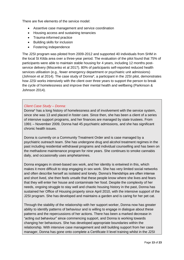There are five elements of the service model:

- Assertive case management and service coordination
- Housing access and sustaining tenancies
- Trauma-informed practice
- Building skills for inclusion
- Fostering independence

The J2SI program was piloted from 2009-2012 and supported 40 individuals from SHM in the local St Kilda area over a three-year period. The evaluation of the pilot found that 75% of participants were able to maintain stable housing for 4 years, including 12 months postservice delivery (Miscenko et al 2017). 80% of participants self-reported reduced health services utilisation (e.g., fewer emergency department or psychiatric unit admissions) (Johnson et al 2014). The case study of Donna\*, a participant in the J2SI pilot, demonstrates how J2SI works intensively with the client over three years to support the person to break the cycle of homelessness and improve their mental health and wellbeing (Parkinson & Johnson 2014).

#### *Client Case Study – Donna:*

Donna\* has a long history of homelessness and of involvement with the service system, since she was 13 and placed in foster care. Since then, she has been a client of a series of intensive support programs, and her finances are managed by state trustees. From 1991 – November 2009, Donna had 45 psychiatric admissions, and she has significant chronic health issues.

Donna is currently on a Community Treatment Order and is case managed by a psychiatric outreach team. She has undergone drug and alcohol treatment regimes in the past including residential withdrawal programs and individual counselling and has been on the methadone maintenance program for nine years. She continues to smoke cannabis daily, and occasionally uses amphetamines.

Donna engages in street-based sex work, and her identity is entwined in this, which makes it more difficult to stop engaging in sex work. She has very limited social networks and often describe herself as isolated and lonely. Donna's friendships are often intense and short lived, she then feels unsafe that these people know where she lives and fears that they will enter her house and contaminate her food. Despite the complexity of her needs, ongoing struggle to stay well and chaotic housing history in the past, Donna has sustained her Office of Housing property since April 2010, with the intensive support of the J2SI program. She has developed and maintains a garden and is caring for her pet cat.

Through the stability of the relationship with her support worker, Donna now has greater ability to identify patterns of behaviour and is willing to engage in dialogue about these patterns and the repercussions of her actions. There has been a marked decrease in "acting out behaviour" since commencing support, and Donna is working towards changing her behaviours. She has developed appropriate boundaries within the relationship. With intensive case management and skill building support from her case manager, Donna has gone onto complete a Certificate II level training whilst in the J2SI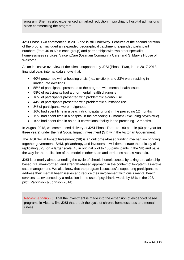program. She has also experienced a marked reduction in psychiatric hospital admissions since commencing the program.

J2SI Phase Two commenced in 2016 and is still underway. Features of the second iteration of the program included an expanded geographical catchment, expanded participant numbers (from 40 to 60 in each group) and partnerships with two other specialist homelessness services, VincentCare (Ozanam Community Care) and St Mary's House of Welcome.

As an indicative overview of the clients supported by J2SI (Phase Two), in the 2017-2018 financial year, internal data shows that:

- 60% presented with a housing crisis (i.e.: eviction), and 23% were residing in inadequate dwellings.
- 55% of participants presented to the program with mental health issues
- 58% of participants had a prior mental health diagnosis
- 16% of participants presented with problematic alcohol use
- 44% of participants presented with problematic substance use
- 8% of participants were Indigenous
- 16% had spent time in a psychiatric hospital or unit in the preceding 12 months
- 15% had spent time in a hospital in the preceding 12 months (excluding psychiatric)
- 10% had spent time in an adult correctional facility in the preceding 12 months.

In August 2018, we commenced delivery of J2SI Phase Three to 180 people (60 per year for three years) under the first Social Impact Investment (SII) with the Victorian Government.

The J2SI Social Impact Investment (SII) is an outcomes-based funding mechanism bringing together government, SHM, philanthropy and investors. It will demonstrate the efficacy of replicating J2SI on a larger scale (40 in original pilot to 180 participants in the SII) and pave the way for the replication of the model in other state and territories across Australia.

J2SI is primarily aimed at ending the cycle of chronic homelessness by taking a relationshipbased, trauma-informed, and strengths-based approach in the context of long-term assertive case management. We also know that the program is successful supporting participants to address their mental health issues and reduce their involvement with crisis mental health services, as evidenced by a reduction in the use of psychiatric wards by 66% in the J2SI pilot (Parkinson & Johnson 2014).

*Recommendation 6:* That the investment is made into the expansion of evidenced based programs in Victoria like J2SI that break the cycle of chronic homelessness and mental illness.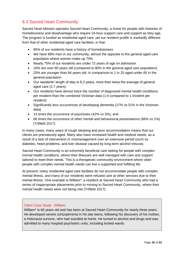### <span id="page-14-0"></span>6.3 Sacred Heart Community

Sacred Heart Mission operates Sacred Heart Community, a home for people with histories of homelessness and disadvantage who require 24-hour support care and support as they age. The program is funded as residential aged care, yet our resident profile is markedly different from that of other residential aged care facilities, in that:

- 95% of our residents have a history of homelessness
- We have 68% men in our community, almost the opposite to the general aged care population where women make up 70%
- Nearly 75% of our residents are under 72 years of age on admission
- 10% are over 80 years old (compared to 80% in the general aged care population)
- 25% are younger than 64 years old, in comparison to 1 in 25 aged under 65 in the general population
- Our residents' length of stay is 6.2 years, more than twice the average of general aged care (2.7 years).
- Our residents have almost twice the number of diagnosed mental health conditions per resident than the combined Victorian data (1.9 compared to 1 incident per resident)
- Significantly less occurrences of developing dementia (17% vs 51% in the Victorian data)
- 14 times the occurrence of psychoses (42% vs 3%), and
- 66 times the occurrence of other mental and behavioural presentations (66% vs 1%) (Trifiletti 2017).

In many cases, many years of rough sleeping and poor accommodation means that our clients are prematurely aged. Many also have increased health and medical needs, as a result of a lack of intervention or mismanagement over an extensive period (such as diabetes, heart problems, and liver disease caused by long-term alcohol misuse).

Sacred Heart Community is an extremely beneficial care setting for people with complex mental health conditions, where their illnesses are well managed with care and support tailored to meet their needs. This is a therapeutic community environment where older people with complex mental health needs can live a supported and fulfilling life.

At present, many residential aged care facilities do not accommodate people with complex mental illness, and many of our residents were refused care at other services due to their mental illness. One example is William\*, a resident at Sacred Heart Community who had a series of inappropriate placements prior to moving to Sacred Heart Community, where their mental health needs were not being met (Trifiletti 2017).

#### *Client Case Study - William:*

William\* is 60 years old and has been at Sacred Heart Community for nearly three years. He developed severe schizophrenia in his late teens, following his discovery of his mother, a Holocaust survivor, who had suicided at home. He turned to alcohol and drugs and was admitted to many hospital psychiatric units, including locked wards.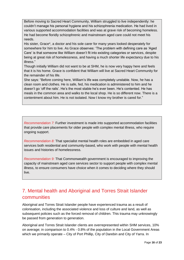Before moving to Sacred Heart Community, William struggled to live independently: he couldn't manage his personal hygiene and his schizophrenia medication. He had lived in various supported accommodation facilities and was at grave risk of becoming homeless. He had become floridly schizophrenic and mainstream aged care could not meet his needs.

His sister, Grace\*, a doctor and his sole carer for many years looked desperately for somewhere for him to live. As Grace observes: 'The problem with defining care as 'Aged Care' is that someone like William doesn't fit into existing categories or services, despite being at great risk of homelessness, and having a much shorter life expectancy due to his illness."

Though initially William did not want to be at SHM, he is now very happy here and feels that it is his home. Grace is confident that William will live at Sacred Heart Community for the remainder of his life.

She says: "Before coming here, William's life was completely unstable. Now, he has a clean room and clothes. He is safe, fed, his medication is administered to him and he doesn't go 'off the rails'. He's the most stable he's ever been. He's contented. He has meals in the common area and walks to the local shop. He is so different now. There is a contentment about him. He is not isolated. Now I know my brother is cared for."

*Recommendation 7:* Further investment is made into supported accommodation facilities that provide care placements for older people with complex mental illness, who require ongoing support.

*Recommendation 8:* That specialist mental health roles are embedded in aged care services both residential and community-based, who work with people with mental health issues and histories of homelessness.

*Recommendation 9:* That Commonwealth government is encouraged to improving the capacity of mainstream aged care services sector to support people with complex mental illness, to ensure consumers have choice when it comes to deciding where they should live.

# <span id="page-15-0"></span>7. Mental health and Aboriginal and Torres Strait Islander communities

Aboriginal and Torres Strait Islander people have experienced trauma as a result of colonisation, including the associated violence and loss of culture and land, as well as subsequent policies such as the forced removal of children. This trauma may unknowingly be passed from generation to generation.

Aboriginal and Torres Strait Islander clients are overrepresented within SHM services, 10% on average; in comparison to 0.4% - 0.8% of the population in the Local Government Areas which we primarily operate – City of Port Phillip, City of Darebin and City of Yarra. In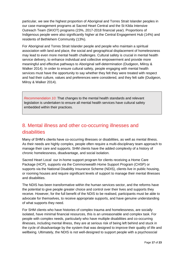particular, we see the highest proportion of Aboriginal and Torres Strait Islander peoples in our case management programs at Sacred Heart Central and the St Kilda Intensive Outreach Team (SKIOT) programs (23%, 2017-2018 financial year). Proportions of Indigenous people were also significantly higher at the Central Engagement Hub (14%) and residents of Bethlehem Community (13%).

For Aboriginal and Torres Strait Islander people and people who maintain a spiritual association with land and place, the social and geographical displacement of homelessness may lead to even more mental health challenges. Cultural safety is crucial in mental health service delivery, to enhance individual and collective empowerment and provide more meaningful and effective pathways to Aboriginal self-determination (Dudgeon, Milroy & Walker 2014). In order to ensure cultural safety, people engaging with mental health services must have the opportunity to say whether they felt they were treated with respect and had their culture, values and preferences were considered, and they felt safe (Dudgeon, Milroy & Walker 2014).

*Recommendation 10:* That changes to the mental health standards and relevant legislation is undertaken to ensure all mental health services have cultural safety embedded within their practices.

# <span id="page-16-0"></span>8. Mental illness and other co-occurring illnesses and disabilities

Many of SHM's clients have co-occurring illnesses or disabilities, as well as mental illness. As their needs are highly complex, people often require a multi-disciplinary team approach to manage their care and supports. SHM clients have the added complexity of a history of chronic homelessness, disadvantage, and social isolation.

Sacred Heart Local our in-home support program for clients receiving a Home Care Package (HCP), supports via the Commonwealth Home Support Program (CHSP) or supports via the National Disability Insurance Scheme (NDIS), clients live in public housing, or rooming houses and require significant levels of support to manage their mental illnesses and disabilities.

The NDIS has been transformative within the human services sector, and the reforms have the potential to give people greater choice and control over their lives and supports they receive. However, for the full benefit of the NDIS to be realised, participants must be able to advocate for themselves, to receive appropriate supports, and have genuine understanding of what supports they need.

For SHM clients who have histories of complex trauma and homelessness, are socially isolated, have minimal financial resources, this is an unreasonable and complex task. For people with complex needs, particularly who have multiple disabilities and co-occurring illnesses, including mental illness, they are at serious risk of being left behind and stuck in the cycle of disadvantage by the system that was designed to improve their quality of life and wellbeing. Ultimately, the NDIS is not well-designed to support people with a psychosocial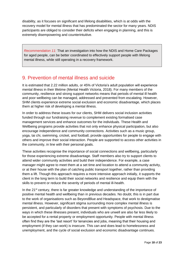disability, as it focuses on significant and lifelong disabilities, which is at odds with the recovery model for mental illness that has predominated the sector for many years. NDIS participants are obliged to consider their deficits when engaging in planning, and this is extremely disempowering and counterintuitive.

*Recommendation 11:* That an investigation into how the NDIS and Home Care Packages for aged people, can be better coordinated to effectively support people with lifelong mental illness, while still operating in a recovery framework.

### <span id="page-17-0"></span>9. Prevention of mental illness and suicide

It is estimated that 2.22 million adults, or 45% of Victoria's adult population will experience mental illness in their lifetime (Mental Health Victoria, 2018). For many members of the community, resilience and strong support networks means that periods of mental ill health and poor wellbeing can be managed, addressed and prevented from escalating. However, SHM clients experience extreme social exclusion and economic disadvantage, which places them at higher risk of developing a mental illness.

In order to address these issues for our clients, SHM delivers social inclusion activities funded through our fundraising revenue to complement existing formalised case management services and enhance outcomes for the individuals. These Health and Wellbeing programs provide activities that not only enhance physical participation, but also encourage independence and community connections. Activities such as a music group, yoga, tai chi, swimming, cricket, and football, provide opportunities for people to engage with others and improve their social interaction. People are supported to access other activities in the community, in line with their personal goals.

These activities recognise the importance of social connections and wellbeing, particularly for those experiencing extreme disadvantage. Staff members also try to support clients to attend wider community activities and build their independence. For example, a case manager might agree to meet them at a set time and location to attend a community activity, or at their house with the plan of catching public transport together, rather than providing them a lift. Though this approach requires a more intensive approach initially, it supports the client in the long term to build their social networks and resilience and equip them with the skills to prevent or reduce the severity of periods of mental ill-health.

In the  $21^{st}$  century, there is far greater knowledge and understanding of the importance of positive mental health and wellbeing than in previous decades. No doubt, this is in part due to the work of organisations such as BeyondBlue and Headspace, that work to destigmatise mental illness. However, significant stigma surrounding more complex mental illness is persistent, and particularly of disorders that present with symptoms of psychosis. Due to the ways in which these illnesses present, individuals who are unwell are also far less likely to be accepted for a rental property or employment opportunity. People with mental illness often find they are the 'last resort' for tenancies and jobs, meaning that their housing and employment (if they can work) is insecure. This can and does lead to homelessness and unemployment, and the cycle of social exclusion and economic disadvantage continues.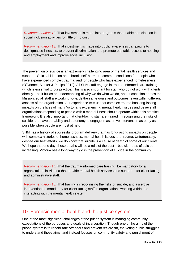*Recommendation 12:* That investment is made into programs that enable participation in social inclusion activities for little or no cost.

*Recommendation 13:* That investment is made into public awareness campaigns to destigmatise illnesses, to prevent discrimination and promote equitable access to housing and employment and improve social inclusion.

The prevention of suicide is an extremely challenging area of mental health services and supports. Suicidal ideation and chronic self-harm are common conditions for people who have experienced complex trauma, and for people who have experienced homelessness (O'Donnell, Varker & Phelps 2012). All SHM staff engage in trauma-informed care training, which is essential to our practice. This is also important for staff who do not work with clients directly – as it builds an understanding of why we do what we do, and of cohesion across the Mission, so all staff are working towards the same goals and outcomes, even within different aspects of the organisation. Our experience tells us that complex trauma has long-lasting impacts on the lives of many Victorians experiencing mental health issues and believe all organisations responding to people with a mental illness should operate within this practice framework. It is also important that client-facing staff are trained in recognising the risks of suicide and have the ability and autonomy to engage in assertive intervention as early as possible when people are most at risk.

SHM has a history of successful program delivery that has long-lasting impacts on people with complex histories of homelessness, mental health issues and trauma. Unfortunately, despite our best efforts, we do know that suicide is a cause of death of some of our clients. We hope that one day, these deaths will be a relic of the past – but with rates of suicide increasing, Victoria has a long way to go in the prevention of suicide in the community.

*Recommendation 14:* That the trauma-informed care training, be mandatory for all organisations in Victoria that provide mental health services and support – for client-facing and administrative staff.

*Recommendation 15:* That training in recognising the risks of suicide, and assertive intervention be mandatory for client-facing staff in organisations working within and interacting with the mental health system.

### <span id="page-18-0"></span>10. Forensic mental health and the justice system

One of the most significant challenges of the prison system is managing community expectations of the purposes and goals of incarceration. Though one of the aims of the prison system is to rehabilitate offenders and prevent recidivism, the voting public struggles to understand these aims, and instead focuses on community safety and punishment of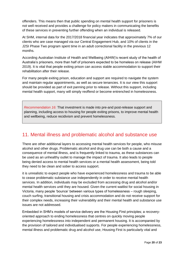offenders. This means then that public spending on mental health support for prisoners is not well received and provides a challenge for policy makers in communicating the benefits of these services in preventing further offending when an individual is released.

At SHM, internal data for the 2017/2018 financial year indicates that approximately 7% of our clients who are case managed via our Central Engagement Hub, and 10% of clients in the J2SI Phase Two program spent time in an adult correctional facility in the previous 12 months.

According Australian Institute of Health and Wellbeing (AIHW)'s recent study of the health of Australia's prisoners, more than half of prisoners expected to be homeless on release (AIHW 2019). It is vital that people exiting prison can access stable accommodation to support their rehabilitation after their release.

For many people exiting prison, education and support are required to navigate the system and maintain regular appointments, as well as secure tenancies. It is our view this support should be provided as part of exit panning prior to release. Without this support, including mental health support, many will simply reoffend or become entrenched in homelessness.

*Recommendation 16:* That investment is made into pre-and post-release support and planning, including access to housing for people exiting prisons, to improve mental health and wellbeing, reduce recidivism and prevent homelessness.

### <span id="page-19-0"></span>11. Mental illness and problematic alcohol and substance use

There are other additional layers to accessing mental health services for people, who misuse alcohol and other drugs. Problematic alcohol and drug use can be both a cause and a consequence of mental illness, and is frequently linked to trauma, as these substances can be used as an unhealthy outlet to manage the impact of trauma. It also leads to people being denied access to mental health services or a mental health assessment, being told they need to be clean and sober to access support.

it is unrealistic to expect people who have experienced homelessness and trauma to be able to cease problematic substance use independently in order to receive mental health services. In addition, individuals may be excluded from accessing drug and alcohol and/or mental health services until they are housed. Given the current waitlist for social housing in Victoria, many people 'bounce' between various types of homelessness – rough sleeping, couch surfing, transitional housing and crisis accommodation and do not receive support for their complex needs, increasing their vulnerability and their mental health and substance use issues are not addressed.

Embedded in SHM's models of service delivery are the Housing First principles; a recoveryoriented approach to ending homelessness that centres on quickly moving people experiencing homelessness into independent and permanent housing. It is accompanied by the provision of tailored and individualised supports. For people experiencing homelessness, mental illness and problematic drug and alcohol use, Housing First is particularly vital and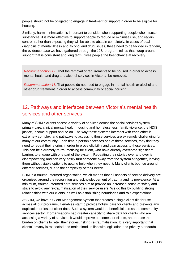people should not be obligated to engage in treatment or support in order to be eligible for housing.

Similarly, harm minimisation is important to consider when supporting people who misuse substances; it is more effective to support people to reduce or minimise use, and regain control, rather than expecting they will be able to abstain completely. In cases of dual diagnosis of mental illness and alcohol and drug issues, these need to be tackled in tandem, the evidence base we have gathered through the J2SI program, tell us that wrap around support that is consistent and long term gives people the best chance at recovery.

*Recommendation 17:* That the removal of requirements to be housed in order to access mental health and drug and alcohol services in Victoria, be removed.

*Recommendation 18:* That people do not need to engage in mental health or alcohol and other drug treatment in order to access community or social housing

# <span id="page-20-0"></span>12. Pathways and interfaces between Victoria's mental health services and other services

Many of SHM's clients access a variety of services across the social services system – primary care, clinical mental health, housing and homelessness, family violence, the NDIS, justice, income support and so on. The way these systems intersect with each other is extremely complex, and pathways to accessing these services are extremely challenging for many of our community. Each time a person accesses one of these services, they find they need to repeat their stories in order to prove eligibility and gain access to these services. This can be extremely re-traumatising for client, who have already overcome significant barriers to engage with one part of the system. Repeating their stories over and over is disempowering and can very easily turn someone away from the system altogether, leaving them without viable options to getting help when they need it. Many clients bounce around different services, due to the complexity of their needs.

SHM is a trauma-informed organisation, which means that all aspects of service delivery are organised around the recognition and acknowledgement of trauma and its prevalence. At a minimum, trauma-informed care services aim to provide an increased sense of safety and strive to avoid any re-traumatisation of their service users. We do this by building strong relationships with our clients, as well as establishing boundaries and role expectations.

At SHM, we have a Client Management System that creates a single client file for use across all our programs, it enables staff to provide holistic care for clients and prevents any duplication or loss of client data. Such a system would be beneficial across the community services sector. If organisations had greater capacity to share data for clients who are accessing a variety of services, it would improve outcomes for clients, and reduce the burden on clients to retell their stories, risking re-traumatisation. It is very important that clients' privacy is respected and maintained, in line with legislation and privacy standards.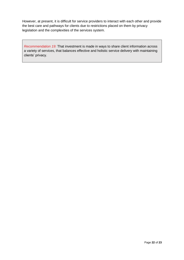However, at present, it is difficult for service providers to interact with each other and provide the best care and pathways for clients due to restrictions placed on them by privacy legislation and the complexities of the services system.

*Recommendation 19:* That investment is made in ways to share client information across a variety of services, that balances effective and holistic service delivery with maintaining clients' privacy.